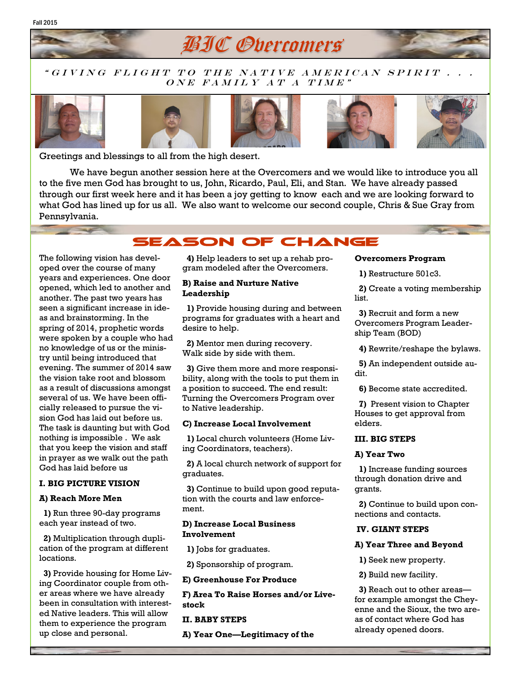## " GIVING FLIGHT TO THE NATIVE AMERICAN SPIRIT . .  $\overline{ONE}$   $\overline{FAMILY}$   $\overline{AT}$   $\overline{A}$   $\overline{TIME}$  "

**BIC Overcomers** 











Greetings and blessings to all from the high desert.

We have begun another session here at the Overcomers and we would like to introduce you all to the five men God has brought to us, John, Ricardo, Paul, Eli, and Stan. We have already passed through our first week here and it has been a joy getting to know each and we are looking forward to what God has lined up for us all. We also want to welcome our second couple, Chris & Sue Gray from Pennsylvania.

# **SEASON OF CHANGE**

The following vision has developed over the course of many years and experiences. One door opened, which led to another and another. The past two years has seen a significant increase in ideas and brainstorming. In the spring of 2014, prophetic words were spoken by a couple who had no knowledge of us or the ministry until being introduced that evening. The summer of 2014 saw the vision take root and blossom as a result of discussions amongst several of us. We have been officially released to pursue the vision God has laid out before us. The task is daunting but with God nothing is impossible . We ask that you keep the vision and staff in prayer as we walk out the path God has laid before us

### **I. BIG PICTURE VISION**

#### **A) Reach More Men**

**1)** Run three 90-day programs each year instead of two.

 **2)** Multiplication through duplication of the program at different locations.

 **3)** Provide housing for Home Living Coordinator couple from other areas where we have already been in consultation with interested Native leaders. This will allow them to experience the program up close and personal.

 **4)** Help leaders to set up a rehab program modeled after the Overcomers.

#### **B) Raise and Nurture Native Leadership**

 **1)** Provide housing during and between programs for graduates with a heart and desire to help.

 **2)** Mentor men during recovery. Walk side by side with them.

 **3)** Give them more and more responsibility, along with the tools to put them in a position to succeed. The end result: Turning the Overcomers Program over to Native leadership.

#### **C) Increase Local Involvement**

 **1)** Local church volunteers (Home Living Coordinators, teachers).

 **2)** A local church network of support for graduates.

 **3)** Continue to build upon good reputation with the courts and law enforcement.

#### **D) Increase Local Business Involvement**

**1)** Jobs for graduates.

**2)** Sponsorship of program.

**E) Greenhouse For Produce**

**F) Area To Raise Horses and/or Livestock** 

**II. BABY STEPS**

**A) Year One—Legitimacy of the** 

#### **Overcomers Program**

**1)** Restructure 501c3.

 **2)** Create a voting membership list.

 **3)** Recruit and form a new Overcomers Program Leadership Team (BOD)

**4)** Rewrite/reshape the bylaws.

 **5)** An independent outside audit.

**6)** Become state accredited.

 **7)** Present vision to Chapter Houses to get approval from elders.

#### **III. BIG STEPS**

#### **A) Year Two**

 **1)** Increase funding sources through donation drive and grants.

 **2)** Continue to build upon connections and contacts.

## **IV. GIANT STEPS**

#### **A) Year Three and Beyond**

- **1)** Seek new property.
- **2)** Build new facility.

 **3)** Reach out to other areas for example amongst the Cheyenne and the Sioux, the two areas of contact where God has already opened doors.